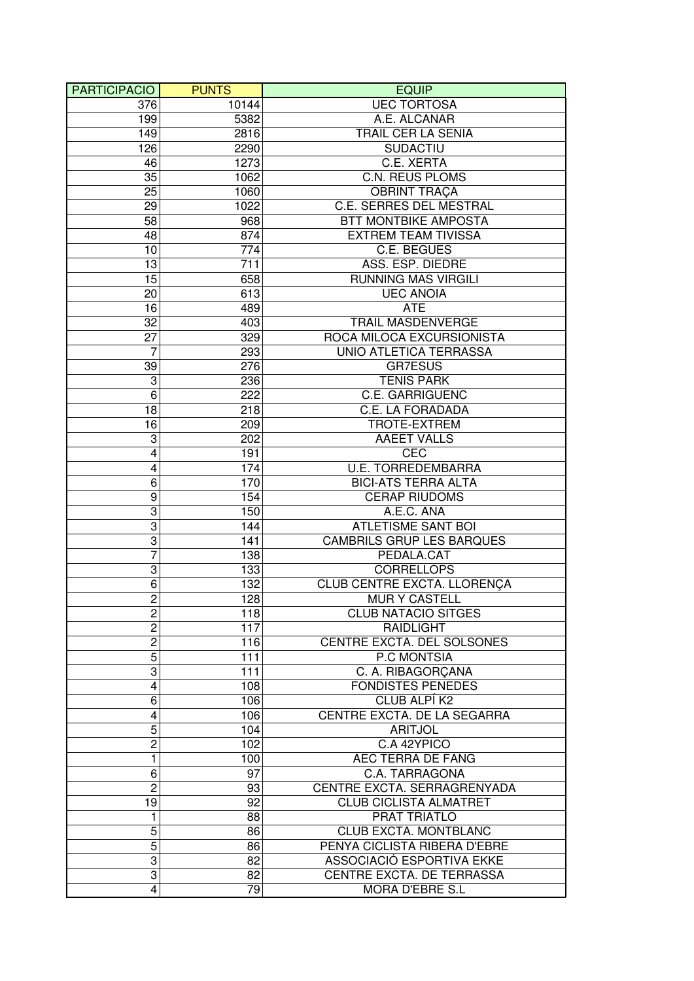| <b>PARTICIPACIO</b>       | <b>PUNTS</b> | <b>EQUIP</b>                       |
|---------------------------|--------------|------------------------------------|
| 376                       | 10144        | <b>UEC TORTOSA</b>                 |
| 199                       | 5382         | A.E. ALCANAR                       |
| 149                       | 2816         | TRAIL CER LA SENIA                 |
| 126                       | 2290         | <b>SUDACTIU</b>                    |
| 46                        | 1273         | C.E. XERTA                         |
| 35                        | 1062         | <b>C.N. REUS PLOMS</b>             |
| 25                        | 1060         | <b>OBRINT TRAÇA</b>                |
| 29                        | 1022         | C.E. SERRES DEL MESTRAL            |
| 58                        | 968          | <b>BTT MONTBIKE AMPOSTA</b>        |
| 48                        | 874          | <b>EXTREM TEAM TIVISSA</b>         |
| 10                        | 774          | C.E. BEGUES                        |
| 13                        | 711          | ASS. ESP. DIEDRE                   |
| 15                        | 658          | <b>RUNNING MAS VIRGILI</b>         |
|                           | 613          | <b>UEC ANOIA</b>                   |
| 20                        |              |                                    |
| 16                        | 489          | <b>ATE</b>                         |
| 32                        | 403          | <b>TRAIL MASDENVERGE</b>           |
| 27                        | 329          | ROCA MILOCA EXCURSIONISTA          |
| $\overline{7}$            | 293          | UNIO ATLETICA TERRASSA             |
| 39                        | 276          | <b>GR7ESUS</b>                     |
| 3                         | 236          | <b>TENIS PARK</b>                  |
| 6                         | 222          | <b>C.E. GARRIGUENC</b>             |
| 18                        | 218          | C.E. LA FORADADA                   |
| 16                        | 209          | TROTE-EXTREM                       |
| 3                         | 202          | <b>AAEET VALLS</b>                 |
| $\overline{\mathbf{4}}$   | 191          | <b>CEC</b>                         |
| $\overline{\mathbf{4}}$   | 174          | <b>U.E. TORREDEMBARRA</b>          |
| 6                         | 170          | <b>BICI-ATS TERRA ALTA</b>         |
| 9                         | 154          | <b>CERAP RIUDOMS</b>               |
| 3                         | 150          | A.E.C. ANA                         |
| 3                         | 144          | <b>ATLETISME SANT BOI</b>          |
| 3                         | 141          | <b>CAMBRILS GRUP LES BARQUES</b>   |
| 7                         | 138          | PEDALA.CAT                         |
| 3                         | 133          | <b>CORRELLOPS</b>                  |
| 6                         | 132          | <b>CLUB CENTRE EXCTA. LLORENÇA</b> |
| $\overline{c}$            | 128          | <b>MUR Y CASTELL</b>               |
| $\overline{c}$            | 118          | <b>CLUB NATACIO SITGES</b>         |
| $\overline{2}$            | 117          | RAIDLIGHT                          |
| $\overline{c}$            | 116          | CENTRE EXCTA. DEL SOLSONES         |
| 5                         | 111          | P.C MONTSIA                        |
| 3                         | 111          | C. A. RIBAGORÇANA                  |
| $\overline{\mathbf{4}}$   | 108          | <b>FONDISTES PENEDES</b>           |
| 6                         | 106          | CLUB ALPÍ K2                       |
| 4                         | 106          | CENTRE EXCTA. DE LA SEGARRA        |
| $\overline{5}$            | 104          | <b>ARITJOL</b>                     |
| $\overline{c}$            | 102          | C.A 42YPICO                        |
| $\mathbf{1}$              | 100          | AEC TERRA DE FANG                  |
| 6                         | 97           | C.A. TARRAGONA                     |
| $\overline{c}$            | 93           | CENTRE EXCTA. SERRAGRENYADA        |
| 19                        | 92           | <b>CLUB CICLISTA ALMATRET</b>      |
| 1                         | 88           | PRAT TRIATLO                       |
| 5                         |              | <b>CLUB EXCTA. MONTBLANC</b>       |
| 5                         | 86           | PENYA CICLISTA RIBERA D'EBRE       |
|                           | 86           |                                    |
| $\ensuremath{\mathsf{3}}$ | 82           | ASSOCIACIÓ ESPORTIVA EKKE          |
| 3                         | 82           | CENTRE EXCTA. DE TERRASSA          |
| $\overline{4}$            | 79           | MORA D'EBRE S.L                    |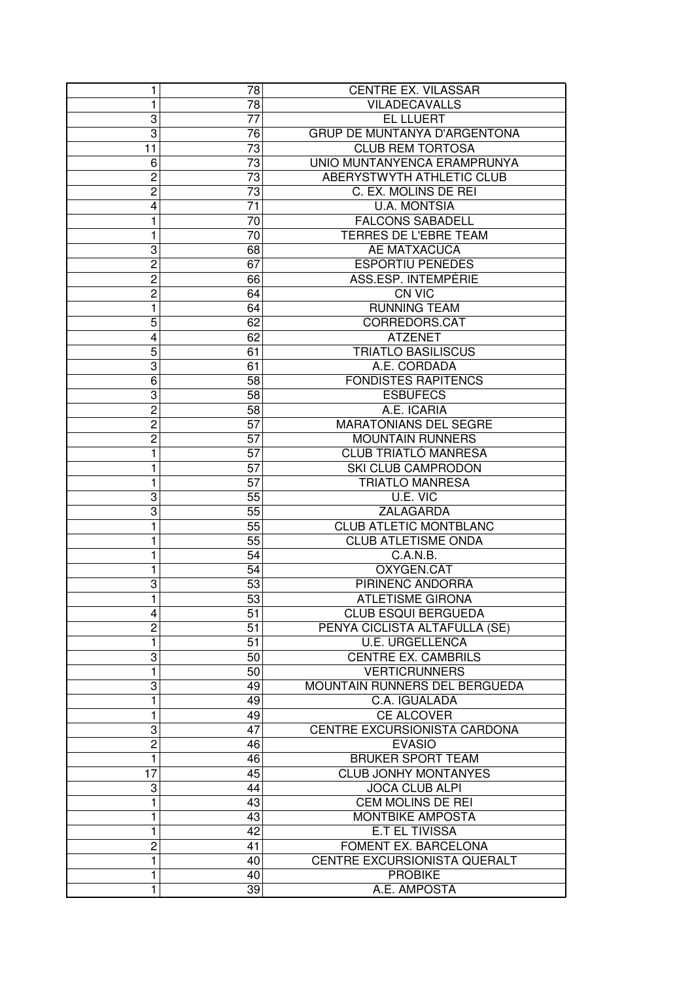| 1<br>78<br>VILADECAVALLS<br>3<br><b>EL LLUERT</b><br>77<br>$\overline{3}$<br>GRUP DE MUNTANYA D'ARGENTONA<br>76<br>73<br>11<br><b>CLUB REM TORTOSA</b><br>UNIO MUNTANYENCA ERAMPRUNYA<br>6<br>73<br>ABERYSTWYTH ATHLETIC CLUB<br>$\overline{c}$<br>73<br>C. EX. MOLINS DE REI<br>$\overline{c}$<br>73<br><b>U.A. MONTSIA</b><br>4<br>71<br><b>FALCONS SABADELL</b><br>1<br>70<br>TERRES DE L'EBRE TEAM<br>70<br>1<br>3<br>68<br>AE MATXACUCA<br>$\overline{c}$<br><b>ESPORTIU PENEDES</b><br>67<br>$\overline{c}$<br>ASS.ESP. INTEMPÈRIE<br>66<br>$\overline{c}$<br>64<br><b>CN VIC</b><br>1<br><b>RUNNING TEAM</b><br>64<br>5<br>62<br>CORREDORS.CAT<br><b>ATZENET</b><br>4<br>62<br><b>TRIATLO BASILISCUS</b><br>5<br>61<br>3<br>A.E. CORDADA<br>61<br><b>FONDISTES RAPITENCS</b><br>6<br>58<br>3<br><b>ESBUFECS</b><br>58<br>$\overline{2}$<br>A.E. ICARIA<br>58<br>$\overline{c}$<br><b>MARATONIANS DEL SEGRE</b><br>57<br>$\overline{c}$<br><b>MOUNTAIN RUNNERS</b><br>57<br><b>CLUB TRIATLÓ MANRESA</b><br>1<br>57<br>1<br>57<br>SKI CLUB CAMPRODON<br><b>TRIATLO MANRESA</b><br>1<br>57<br>3<br>U.E. VIC<br>55<br>3<br>55<br>ZALAGARDA<br><b>CLUB ATLETIC MONTBLANC</b><br>1<br>55<br><b>CLUB ATLETISME ONDA</b><br>55<br>1<br>C.A.N.B.<br>1<br>54<br>OXYGEN.CAT<br>$\mathbf{1}$<br>54<br><b>PIRINENC ANDORRA</b><br>3<br>53<br>$\mathbf{1}$<br>53<br><b>ATLETISME GIRONA</b><br><b>CLUB ESQUI BERGUEDA</b><br>4<br>51<br>$\overline{c}$<br>PENYA CICLISTA ALTAFULLA (SE)<br>51<br>1<br>51<br><b>U.E. URGELLENCA</b><br>3<br><b>CENTRE EX. CAMBRILS</b><br>50<br>1<br><b>VERTICRUNNERS</b><br>50<br>3<br>MOUNTAIN RUNNERS DEL BERGUEDA<br>49<br>1<br>49<br>C.A. IGUALADA<br>CE ALCOVER<br>1<br>49<br>CENTRE EXCURSIONISTA CARDONA<br>3<br>47<br>$\overline{c}$<br><b>EVASIO</b><br>46<br>$\mathbf{1}$<br><b>BRUKER SPORT TEAM</b><br>46<br><b>CLUB JONHY MONTANYES</b><br>17<br>45<br>3<br>44<br><b>JOCA CLUB ALPI</b><br>$\mathbf{1}$<br>CEM MOLINS DE REI<br>43<br>1<br>MONTBIKE AMPOSTA<br>43<br>1<br>42<br><b>E.T EL TIVISSA</b><br>$\overline{c}$<br>FOMENT EX. BARCELONA<br>41<br>CENTRE EXCURSIONISTA QUERALT<br>1<br>40<br>1<br><b>PROBIKE</b><br>40 | 1 | 78 | CENTRE EX. VILASSAR |
|---------------------------------------------------------------------------------------------------------------------------------------------------------------------------------------------------------------------------------------------------------------------------------------------------------------------------------------------------------------------------------------------------------------------------------------------------------------------------------------------------------------------------------------------------------------------------------------------------------------------------------------------------------------------------------------------------------------------------------------------------------------------------------------------------------------------------------------------------------------------------------------------------------------------------------------------------------------------------------------------------------------------------------------------------------------------------------------------------------------------------------------------------------------------------------------------------------------------------------------------------------------------------------------------------------------------------------------------------------------------------------------------------------------------------------------------------------------------------------------------------------------------------------------------------------------------------------------------------------------------------------------------------------------------------------------------------------------------------------------------------------------------------------------------------------------------------------------------------------------------------------------------------------------------------------------------------------------------------------------------------------------------------------------------------------------------------------------------------------------------------------------------------------------------|---|----|---------------------|
|                                                                                                                                                                                                                                                                                                                                                                                                                                                                                                                                                                                                                                                                                                                                                                                                                                                                                                                                                                                                                                                                                                                                                                                                                                                                                                                                                                                                                                                                                                                                                                                                                                                                                                                                                                                                                                                                                                                                                                                                                                                                                                                                                                     |   |    |                     |
|                                                                                                                                                                                                                                                                                                                                                                                                                                                                                                                                                                                                                                                                                                                                                                                                                                                                                                                                                                                                                                                                                                                                                                                                                                                                                                                                                                                                                                                                                                                                                                                                                                                                                                                                                                                                                                                                                                                                                                                                                                                                                                                                                                     |   |    |                     |
|                                                                                                                                                                                                                                                                                                                                                                                                                                                                                                                                                                                                                                                                                                                                                                                                                                                                                                                                                                                                                                                                                                                                                                                                                                                                                                                                                                                                                                                                                                                                                                                                                                                                                                                                                                                                                                                                                                                                                                                                                                                                                                                                                                     |   |    |                     |
|                                                                                                                                                                                                                                                                                                                                                                                                                                                                                                                                                                                                                                                                                                                                                                                                                                                                                                                                                                                                                                                                                                                                                                                                                                                                                                                                                                                                                                                                                                                                                                                                                                                                                                                                                                                                                                                                                                                                                                                                                                                                                                                                                                     |   |    |                     |
|                                                                                                                                                                                                                                                                                                                                                                                                                                                                                                                                                                                                                                                                                                                                                                                                                                                                                                                                                                                                                                                                                                                                                                                                                                                                                                                                                                                                                                                                                                                                                                                                                                                                                                                                                                                                                                                                                                                                                                                                                                                                                                                                                                     |   |    |                     |
|                                                                                                                                                                                                                                                                                                                                                                                                                                                                                                                                                                                                                                                                                                                                                                                                                                                                                                                                                                                                                                                                                                                                                                                                                                                                                                                                                                                                                                                                                                                                                                                                                                                                                                                                                                                                                                                                                                                                                                                                                                                                                                                                                                     |   |    |                     |
|                                                                                                                                                                                                                                                                                                                                                                                                                                                                                                                                                                                                                                                                                                                                                                                                                                                                                                                                                                                                                                                                                                                                                                                                                                                                                                                                                                                                                                                                                                                                                                                                                                                                                                                                                                                                                                                                                                                                                                                                                                                                                                                                                                     |   |    |                     |
|                                                                                                                                                                                                                                                                                                                                                                                                                                                                                                                                                                                                                                                                                                                                                                                                                                                                                                                                                                                                                                                                                                                                                                                                                                                                                                                                                                                                                                                                                                                                                                                                                                                                                                                                                                                                                                                                                                                                                                                                                                                                                                                                                                     |   |    |                     |
|                                                                                                                                                                                                                                                                                                                                                                                                                                                                                                                                                                                                                                                                                                                                                                                                                                                                                                                                                                                                                                                                                                                                                                                                                                                                                                                                                                                                                                                                                                                                                                                                                                                                                                                                                                                                                                                                                                                                                                                                                                                                                                                                                                     |   |    |                     |
|                                                                                                                                                                                                                                                                                                                                                                                                                                                                                                                                                                                                                                                                                                                                                                                                                                                                                                                                                                                                                                                                                                                                                                                                                                                                                                                                                                                                                                                                                                                                                                                                                                                                                                                                                                                                                                                                                                                                                                                                                                                                                                                                                                     |   |    |                     |
|                                                                                                                                                                                                                                                                                                                                                                                                                                                                                                                                                                                                                                                                                                                                                                                                                                                                                                                                                                                                                                                                                                                                                                                                                                                                                                                                                                                                                                                                                                                                                                                                                                                                                                                                                                                                                                                                                                                                                                                                                                                                                                                                                                     |   |    |                     |
|                                                                                                                                                                                                                                                                                                                                                                                                                                                                                                                                                                                                                                                                                                                                                                                                                                                                                                                                                                                                                                                                                                                                                                                                                                                                                                                                                                                                                                                                                                                                                                                                                                                                                                                                                                                                                                                                                                                                                                                                                                                                                                                                                                     |   |    |                     |
|                                                                                                                                                                                                                                                                                                                                                                                                                                                                                                                                                                                                                                                                                                                                                                                                                                                                                                                                                                                                                                                                                                                                                                                                                                                                                                                                                                                                                                                                                                                                                                                                                                                                                                                                                                                                                                                                                                                                                                                                                                                                                                                                                                     |   |    |                     |
|                                                                                                                                                                                                                                                                                                                                                                                                                                                                                                                                                                                                                                                                                                                                                                                                                                                                                                                                                                                                                                                                                                                                                                                                                                                                                                                                                                                                                                                                                                                                                                                                                                                                                                                                                                                                                                                                                                                                                                                                                                                                                                                                                                     |   |    |                     |
|                                                                                                                                                                                                                                                                                                                                                                                                                                                                                                                                                                                                                                                                                                                                                                                                                                                                                                                                                                                                                                                                                                                                                                                                                                                                                                                                                                                                                                                                                                                                                                                                                                                                                                                                                                                                                                                                                                                                                                                                                                                                                                                                                                     |   |    |                     |
|                                                                                                                                                                                                                                                                                                                                                                                                                                                                                                                                                                                                                                                                                                                                                                                                                                                                                                                                                                                                                                                                                                                                                                                                                                                                                                                                                                                                                                                                                                                                                                                                                                                                                                                                                                                                                                                                                                                                                                                                                                                                                                                                                                     |   |    |                     |
|                                                                                                                                                                                                                                                                                                                                                                                                                                                                                                                                                                                                                                                                                                                                                                                                                                                                                                                                                                                                                                                                                                                                                                                                                                                                                                                                                                                                                                                                                                                                                                                                                                                                                                                                                                                                                                                                                                                                                                                                                                                                                                                                                                     |   |    |                     |
|                                                                                                                                                                                                                                                                                                                                                                                                                                                                                                                                                                                                                                                                                                                                                                                                                                                                                                                                                                                                                                                                                                                                                                                                                                                                                                                                                                                                                                                                                                                                                                                                                                                                                                                                                                                                                                                                                                                                                                                                                                                                                                                                                                     |   |    |                     |
|                                                                                                                                                                                                                                                                                                                                                                                                                                                                                                                                                                                                                                                                                                                                                                                                                                                                                                                                                                                                                                                                                                                                                                                                                                                                                                                                                                                                                                                                                                                                                                                                                                                                                                                                                                                                                                                                                                                                                                                                                                                                                                                                                                     |   |    |                     |
|                                                                                                                                                                                                                                                                                                                                                                                                                                                                                                                                                                                                                                                                                                                                                                                                                                                                                                                                                                                                                                                                                                                                                                                                                                                                                                                                                                                                                                                                                                                                                                                                                                                                                                                                                                                                                                                                                                                                                                                                                                                                                                                                                                     |   |    |                     |
|                                                                                                                                                                                                                                                                                                                                                                                                                                                                                                                                                                                                                                                                                                                                                                                                                                                                                                                                                                                                                                                                                                                                                                                                                                                                                                                                                                                                                                                                                                                                                                                                                                                                                                                                                                                                                                                                                                                                                                                                                                                                                                                                                                     |   |    |                     |
|                                                                                                                                                                                                                                                                                                                                                                                                                                                                                                                                                                                                                                                                                                                                                                                                                                                                                                                                                                                                                                                                                                                                                                                                                                                                                                                                                                                                                                                                                                                                                                                                                                                                                                                                                                                                                                                                                                                                                                                                                                                                                                                                                                     |   |    |                     |
|                                                                                                                                                                                                                                                                                                                                                                                                                                                                                                                                                                                                                                                                                                                                                                                                                                                                                                                                                                                                                                                                                                                                                                                                                                                                                                                                                                                                                                                                                                                                                                                                                                                                                                                                                                                                                                                                                                                                                                                                                                                                                                                                                                     |   |    |                     |
|                                                                                                                                                                                                                                                                                                                                                                                                                                                                                                                                                                                                                                                                                                                                                                                                                                                                                                                                                                                                                                                                                                                                                                                                                                                                                                                                                                                                                                                                                                                                                                                                                                                                                                                                                                                                                                                                                                                                                                                                                                                                                                                                                                     |   |    |                     |
|                                                                                                                                                                                                                                                                                                                                                                                                                                                                                                                                                                                                                                                                                                                                                                                                                                                                                                                                                                                                                                                                                                                                                                                                                                                                                                                                                                                                                                                                                                                                                                                                                                                                                                                                                                                                                                                                                                                                                                                                                                                                                                                                                                     |   |    |                     |
|                                                                                                                                                                                                                                                                                                                                                                                                                                                                                                                                                                                                                                                                                                                                                                                                                                                                                                                                                                                                                                                                                                                                                                                                                                                                                                                                                                                                                                                                                                                                                                                                                                                                                                                                                                                                                                                                                                                                                                                                                                                                                                                                                                     |   |    |                     |
|                                                                                                                                                                                                                                                                                                                                                                                                                                                                                                                                                                                                                                                                                                                                                                                                                                                                                                                                                                                                                                                                                                                                                                                                                                                                                                                                                                                                                                                                                                                                                                                                                                                                                                                                                                                                                                                                                                                                                                                                                                                                                                                                                                     |   |    |                     |
|                                                                                                                                                                                                                                                                                                                                                                                                                                                                                                                                                                                                                                                                                                                                                                                                                                                                                                                                                                                                                                                                                                                                                                                                                                                                                                                                                                                                                                                                                                                                                                                                                                                                                                                                                                                                                                                                                                                                                                                                                                                                                                                                                                     |   |    |                     |
|                                                                                                                                                                                                                                                                                                                                                                                                                                                                                                                                                                                                                                                                                                                                                                                                                                                                                                                                                                                                                                                                                                                                                                                                                                                                                                                                                                                                                                                                                                                                                                                                                                                                                                                                                                                                                                                                                                                                                                                                                                                                                                                                                                     |   |    |                     |
|                                                                                                                                                                                                                                                                                                                                                                                                                                                                                                                                                                                                                                                                                                                                                                                                                                                                                                                                                                                                                                                                                                                                                                                                                                                                                                                                                                                                                                                                                                                                                                                                                                                                                                                                                                                                                                                                                                                                                                                                                                                                                                                                                                     |   |    |                     |
|                                                                                                                                                                                                                                                                                                                                                                                                                                                                                                                                                                                                                                                                                                                                                                                                                                                                                                                                                                                                                                                                                                                                                                                                                                                                                                                                                                                                                                                                                                                                                                                                                                                                                                                                                                                                                                                                                                                                                                                                                                                                                                                                                                     |   |    |                     |
|                                                                                                                                                                                                                                                                                                                                                                                                                                                                                                                                                                                                                                                                                                                                                                                                                                                                                                                                                                                                                                                                                                                                                                                                                                                                                                                                                                                                                                                                                                                                                                                                                                                                                                                                                                                                                                                                                                                                                                                                                                                                                                                                                                     |   |    |                     |
|                                                                                                                                                                                                                                                                                                                                                                                                                                                                                                                                                                                                                                                                                                                                                                                                                                                                                                                                                                                                                                                                                                                                                                                                                                                                                                                                                                                                                                                                                                                                                                                                                                                                                                                                                                                                                                                                                                                                                                                                                                                                                                                                                                     |   |    |                     |
|                                                                                                                                                                                                                                                                                                                                                                                                                                                                                                                                                                                                                                                                                                                                                                                                                                                                                                                                                                                                                                                                                                                                                                                                                                                                                                                                                                                                                                                                                                                                                                                                                                                                                                                                                                                                                                                                                                                                                                                                                                                                                                                                                                     |   |    |                     |
|                                                                                                                                                                                                                                                                                                                                                                                                                                                                                                                                                                                                                                                                                                                                                                                                                                                                                                                                                                                                                                                                                                                                                                                                                                                                                                                                                                                                                                                                                                                                                                                                                                                                                                                                                                                                                                                                                                                                                                                                                                                                                                                                                                     |   |    |                     |
|                                                                                                                                                                                                                                                                                                                                                                                                                                                                                                                                                                                                                                                                                                                                                                                                                                                                                                                                                                                                                                                                                                                                                                                                                                                                                                                                                                                                                                                                                                                                                                                                                                                                                                                                                                                                                                                                                                                                                                                                                                                                                                                                                                     |   |    |                     |
|                                                                                                                                                                                                                                                                                                                                                                                                                                                                                                                                                                                                                                                                                                                                                                                                                                                                                                                                                                                                                                                                                                                                                                                                                                                                                                                                                                                                                                                                                                                                                                                                                                                                                                                                                                                                                                                                                                                                                                                                                                                                                                                                                                     |   |    |                     |
|                                                                                                                                                                                                                                                                                                                                                                                                                                                                                                                                                                                                                                                                                                                                                                                                                                                                                                                                                                                                                                                                                                                                                                                                                                                                                                                                                                                                                                                                                                                                                                                                                                                                                                                                                                                                                                                                                                                                                                                                                                                                                                                                                                     |   |    |                     |
|                                                                                                                                                                                                                                                                                                                                                                                                                                                                                                                                                                                                                                                                                                                                                                                                                                                                                                                                                                                                                                                                                                                                                                                                                                                                                                                                                                                                                                                                                                                                                                                                                                                                                                                                                                                                                                                                                                                                                                                                                                                                                                                                                                     |   |    |                     |
|                                                                                                                                                                                                                                                                                                                                                                                                                                                                                                                                                                                                                                                                                                                                                                                                                                                                                                                                                                                                                                                                                                                                                                                                                                                                                                                                                                                                                                                                                                                                                                                                                                                                                                                                                                                                                                                                                                                                                                                                                                                                                                                                                                     |   |    |                     |
|                                                                                                                                                                                                                                                                                                                                                                                                                                                                                                                                                                                                                                                                                                                                                                                                                                                                                                                                                                                                                                                                                                                                                                                                                                                                                                                                                                                                                                                                                                                                                                                                                                                                                                                                                                                                                                                                                                                                                                                                                                                                                                                                                                     |   |    |                     |
|                                                                                                                                                                                                                                                                                                                                                                                                                                                                                                                                                                                                                                                                                                                                                                                                                                                                                                                                                                                                                                                                                                                                                                                                                                                                                                                                                                                                                                                                                                                                                                                                                                                                                                                                                                                                                                                                                                                                                                                                                                                                                                                                                                     |   |    |                     |
|                                                                                                                                                                                                                                                                                                                                                                                                                                                                                                                                                                                                                                                                                                                                                                                                                                                                                                                                                                                                                                                                                                                                                                                                                                                                                                                                                                                                                                                                                                                                                                                                                                                                                                                                                                                                                                                                                                                                                                                                                                                                                                                                                                     |   |    |                     |
|                                                                                                                                                                                                                                                                                                                                                                                                                                                                                                                                                                                                                                                                                                                                                                                                                                                                                                                                                                                                                                                                                                                                                                                                                                                                                                                                                                                                                                                                                                                                                                                                                                                                                                                                                                                                                                                                                                                                                                                                                                                                                                                                                                     |   |    |                     |
|                                                                                                                                                                                                                                                                                                                                                                                                                                                                                                                                                                                                                                                                                                                                                                                                                                                                                                                                                                                                                                                                                                                                                                                                                                                                                                                                                                                                                                                                                                                                                                                                                                                                                                                                                                                                                                                                                                                                                                                                                                                                                                                                                                     |   |    |                     |
|                                                                                                                                                                                                                                                                                                                                                                                                                                                                                                                                                                                                                                                                                                                                                                                                                                                                                                                                                                                                                                                                                                                                                                                                                                                                                                                                                                                                                                                                                                                                                                                                                                                                                                                                                                                                                                                                                                                                                                                                                                                                                                                                                                     |   |    |                     |
|                                                                                                                                                                                                                                                                                                                                                                                                                                                                                                                                                                                                                                                                                                                                                                                                                                                                                                                                                                                                                                                                                                                                                                                                                                                                                                                                                                                                                                                                                                                                                                                                                                                                                                                                                                                                                                                                                                                                                                                                                                                                                                                                                                     |   |    |                     |
|                                                                                                                                                                                                                                                                                                                                                                                                                                                                                                                                                                                                                                                                                                                                                                                                                                                                                                                                                                                                                                                                                                                                                                                                                                                                                                                                                                                                                                                                                                                                                                                                                                                                                                                                                                                                                                                                                                                                                                                                                                                                                                                                                                     |   |    |                     |
|                                                                                                                                                                                                                                                                                                                                                                                                                                                                                                                                                                                                                                                                                                                                                                                                                                                                                                                                                                                                                                                                                                                                                                                                                                                                                                                                                                                                                                                                                                                                                                                                                                                                                                                                                                                                                                                                                                                                                                                                                                                                                                                                                                     |   |    |                     |
|                                                                                                                                                                                                                                                                                                                                                                                                                                                                                                                                                                                                                                                                                                                                                                                                                                                                                                                                                                                                                                                                                                                                                                                                                                                                                                                                                                                                                                                                                                                                                                                                                                                                                                                                                                                                                                                                                                                                                                                                                                                                                                                                                                     |   |    |                     |
|                                                                                                                                                                                                                                                                                                                                                                                                                                                                                                                                                                                                                                                                                                                                                                                                                                                                                                                                                                                                                                                                                                                                                                                                                                                                                                                                                                                                                                                                                                                                                                                                                                                                                                                                                                                                                                                                                                                                                                                                                                                                                                                                                                     |   |    |                     |
|                                                                                                                                                                                                                                                                                                                                                                                                                                                                                                                                                                                                                                                                                                                                                                                                                                                                                                                                                                                                                                                                                                                                                                                                                                                                                                                                                                                                                                                                                                                                                                                                                                                                                                                                                                                                                                                                                                                                                                                                                                                                                                                                                                     |   |    |                     |
|                                                                                                                                                                                                                                                                                                                                                                                                                                                                                                                                                                                                                                                                                                                                                                                                                                                                                                                                                                                                                                                                                                                                                                                                                                                                                                                                                                                                                                                                                                                                                                                                                                                                                                                                                                                                                                                                                                                                                                                                                                                                                                                                                                     |   |    |                     |
|                                                                                                                                                                                                                                                                                                                                                                                                                                                                                                                                                                                                                                                                                                                                                                                                                                                                                                                                                                                                                                                                                                                                                                                                                                                                                                                                                                                                                                                                                                                                                                                                                                                                                                                                                                                                                                                                                                                                                                                                                                                                                                                                                                     |   |    |                     |
|                                                                                                                                                                                                                                                                                                                                                                                                                                                                                                                                                                                                                                                                                                                                                                                                                                                                                                                                                                                                                                                                                                                                                                                                                                                                                                                                                                                                                                                                                                                                                                                                                                                                                                                                                                                                                                                                                                                                                                                                                                                                                                                                                                     |   |    |                     |
|                                                                                                                                                                                                                                                                                                                                                                                                                                                                                                                                                                                                                                                                                                                                                                                                                                                                                                                                                                                                                                                                                                                                                                                                                                                                                                                                                                                                                                                                                                                                                                                                                                                                                                                                                                                                                                                                                                                                                                                                                                                                                                                                                                     |   |    |                     |
|                                                                                                                                                                                                                                                                                                                                                                                                                                                                                                                                                                                                                                                                                                                                                                                                                                                                                                                                                                                                                                                                                                                                                                                                                                                                                                                                                                                                                                                                                                                                                                                                                                                                                                                                                                                                                                                                                                                                                                                                                                                                                                                                                                     | 1 | 39 | A.E. AMPOSTA        |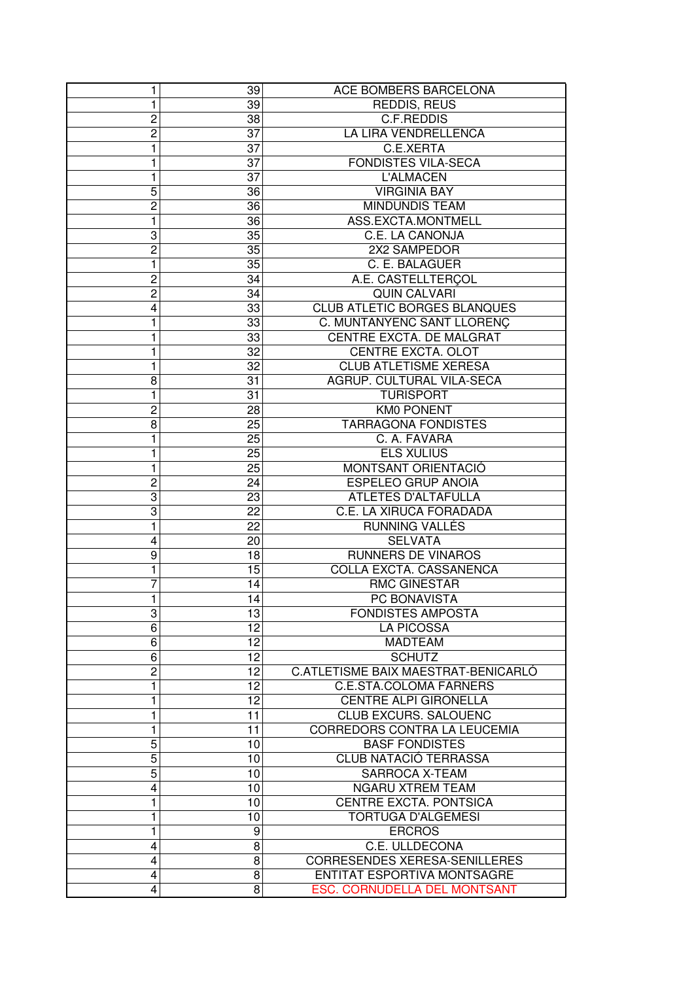| 1              | 39       | ACE BOMBERS BARCELONA                             |
|----------------|----------|---------------------------------------------------|
| 1              | 39       | REDDIS, REUS                                      |
| $\overline{c}$ | 38       | C.F.REDDIS                                        |
| $\overline{c}$ | 37       | LA LIRA VENDRELLENCA                              |
| 1              | 37       | C.E.XERTA                                         |
| 1              | 37       | <b>FONDISTES VILA-SECA</b>                        |
| 1              | 37       | <b>L'ALMACEN</b>                                  |
| 5              | 36       | <b>VIRGINIA BAY</b>                               |
| $\overline{c}$ | 36       | <b>MINDUNDIS TEAM</b>                             |
| 1              | 36       | ASS.EXCTA.MONTMELL                                |
| 3              | 35       | C.E. LA CANONJA                                   |
| $\overline{c}$ | 35       | 2X2 SAMPEDOR                                      |
| 1              | 35       | C. E. BALAGUER                                    |
| $\overline{c}$ | 34       | A.E. CASTELLTERÇOL                                |
| $\overline{c}$ | 34       | <b>QUIN CALVARI</b>                               |
| 4              | 33       | <b>CLUB ATLETIC BORGES BLANQUES</b>               |
| 1              | 33       | C. MUNTANYENC SANT LLORENÇ                        |
| 1              | 33       | CENTRE EXCTA. DE MALGRAT                          |
| 1              | 32       | CENTRE EXCTA. OLOT                                |
| 1              | 32       | <b>CLUB ATLETISME XERESA</b>                      |
| 8              | 31       | AGRUP. CULTURAL VILA-SECA                         |
| 1              | 31       | <b>TURISPORT</b>                                  |
| $\overline{c}$ | 28       | <b>KM0 PONENT</b>                                 |
| 8              | 25       | <b>TARRAGONA FONDISTES</b>                        |
| 1              | 25       | C. A. FAVARA                                      |
| 1              | 25       | <b>ELS XULIUS</b>                                 |
| 1              | 25       | MONTSANT ORIENTACIÓ                               |
| 2              | 24       | <b>ESPELEO GRUP ANOIA</b>                         |
| 3              | 23       | ATLETES D'ALTAFULLA                               |
| 3              | 22       | C.E. LA XIRUCA FORADADA                           |
| 1              | 22       | RUNNING VALLÉS                                    |
| 4              | 20       | <b>SELVATA</b>                                    |
| 9              | 18       | <b>RUNNERS DE VINAROS</b>                         |
| 1              | 15       | COLLA EXCTA. CASSANENCA                           |
| 7              | 14       | <b>RMC GINESTAR</b>                               |
| 1              | 14       | PC BONAVISTA                                      |
| 3              | 13       | <b>FONDISTES AMPOSTA</b>                          |
| $\overline{6}$ | 12       | <b>LA PICOSSA</b>                                 |
| 6              | 12       | <b>MADTEAM</b>                                    |
| 6              | 12       | <b>SCHUTZ</b>                                     |
| $\overline{2}$ | 12       | C.ATLETISME BAIX MAESTRAT-BENICARLÓ               |
| 1              | 12       | <b>C.E.STA.COLOMA FARNERS</b>                     |
| 1              | 12       | <b>CENTRE ALPI GIRONELLA</b>                      |
| 1              | 11       | <b>CLUB EXCURS. SALOUENC</b>                      |
| 1              | 11       | CORREDORS CONTRA LA LEUCEMIA                      |
| 5              | 10       | <b>BASF FONDISTES</b>                             |
| 5              | 10       | <b>CLUB NATACIÓ TERRASSA</b>                      |
|                |          |                                                   |
| 5              | 10       | SARROCA X-TEAM                                    |
| 4              | 10<br>10 | <b>NGARU XTREM TEAM</b><br>CENTRE EXCTA. PONTSICA |
| 1              |          |                                                   |
| 1              | 10       | <b>TORTUGA D'ALGEMESI</b>                         |
| 1<br>4         | 9        | <b>ERCROS</b><br>C.E. ULLDECONA                   |
| 4              | 8<br>8   | <b>CORRESENDES XERESA-SENILLERES</b>              |
|                |          |                                                   |
| 4              | 8        | ENTITAT ESPORTIVA MONTSAGRE                       |
| 4              | 8        | ESC. CORNUDELLA DEL MONTSANT                      |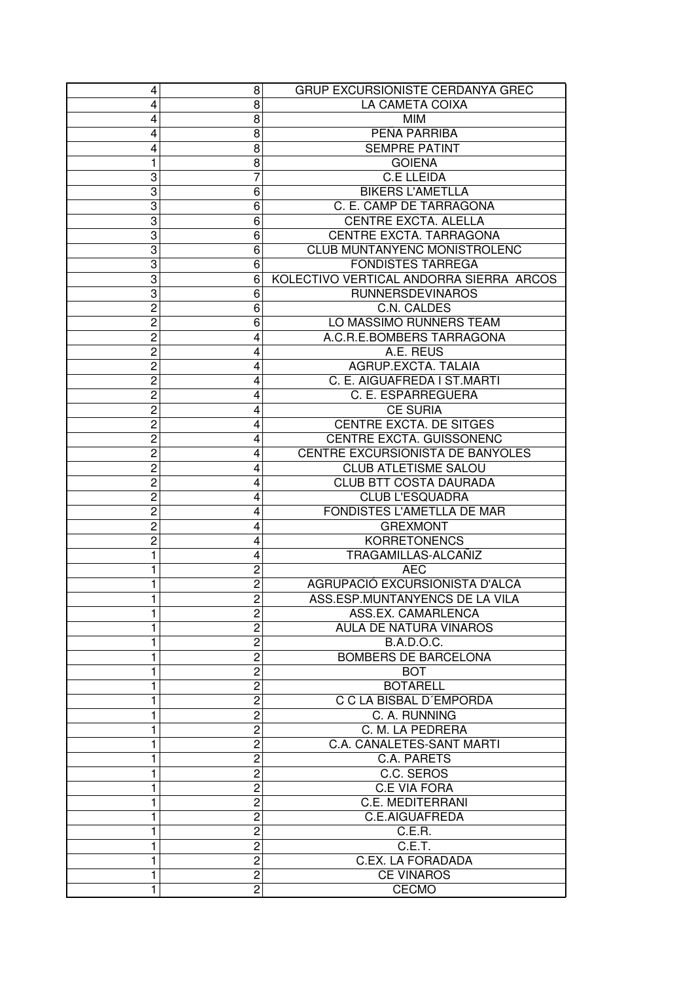| 4              | 8                       | GRUP EXCURSIONISTE CERDANYA GREC        |
|----------------|-------------------------|-----------------------------------------|
| 4              | 8                       | LA CAMETA COIXA                         |
| 4              | 8                       | <b>MIM</b>                              |
| 4              | 8                       | PEÑA PARRIBA                            |
| 4              | 8                       | <b>SEMPRE PATINT</b>                    |
| 1              | 8                       | <b>GOIENA</b>                           |
| 3              | 7                       | <b>C.E LLEIDA</b>                       |
| 3              | 6                       | <b>BIKERS L'AMETLLA</b>                 |
| 3              | 6                       | C. E. CAMP DE TARRAGONA                 |
| 3              | 6                       | <b>CENTRE EXCTA. ALELLA</b>             |
| 3              | 6                       | CENTRE EXCTA. TARRAGONA                 |
| 3              | 6                       | CLUB MUNTANYENC MONISTROLENC            |
| 3              | 6                       | <b>FONDISTES TARREGA</b>                |
| 3              | 6                       | KOLECTIVO VERTICAL ANDORRA SIERRA ARCOS |
| 3              | 6                       | <b>RUNNERSDEVINAROS</b>                 |
| $\overline{c}$ | 6                       | C.N. CALDES                             |
| $\overline{c}$ | 6                       | LO MASSIMO RUNNERS TEAM                 |
| $\overline{c}$ | 4                       | A.C.R.E.BOMBERS TARRAGONA               |
| $\overline{c}$ | 4                       | A.E. REUS                               |
| $\overline{c}$ | 4                       | AGRUP.EXCTA, TALAIA                     |
| 2              | 4                       | C. E. AIGUAFREDA I ST.MARTI             |
| $\overline{c}$ | 4                       | C. E. ESPARREGUERA                      |
| $\overline{c}$ | 4                       | <b>CE SURIA</b>                         |
| $\overline{c}$ | 4                       | <b>CENTRE EXCTA. DE SITGES</b>          |
| 2              | 4                       | CENTRE EXCTA. GUISSONENC                |
| $\overline{c}$ | 4                       | CENTRE EXCURSIONISTA DE BANYOLES        |
| $\overline{c}$ | 4                       | <b>CLUB ATLETISME SALOU</b>             |
| $\overline{c}$ | 4                       | <b>CLUB BTT COSTA DAURADA</b>           |
| $\overline{c}$ | 4                       | <b>CLUB L'ESQUADRA</b>                  |
| $\overline{c}$ | 4                       | FONDISTES L'AMETLLA DE MAR              |
| $\overline{c}$ | 4                       | <b>GREXMONT</b>                         |
| $\overline{c}$ | 4                       | <b>KORRETONENCS</b>                     |
| 1              | 4                       | TRAGAMILLAS-ALCAÑIZ                     |
| 1              | $\overline{\mathbf{c}}$ | <b>AEC</b>                              |
| 1              | $\overline{c}$          | AGRUPACIÓ EXCURSIONISTA D'ALCA          |
| 1              | $\overline{c}$          | ASS.ESP.MUNTANYENCS DE LA VILA          |
| 1              | $\overline{c}$          | ASS.EX. CAMARLENCA                      |
| 1              | $\overline{c}$          | AULA DE NATURA VINAROS                  |
| 1              | $\overline{\mathbf{c}}$ | <b>B.A.D.O.C.</b>                       |
| 1              | $\overline{c}$          | <b>BOMBERS DE BARCELONA</b>             |
| 1              | $\overline{c}$          | <b>BOT</b>                              |
|                | 2                       | <b>BOTARELL</b>                         |
|                | 2                       | C C LA BISBAL D'EMPORDA                 |
| 1              | 2                       | C. A. RUNNING                           |
| 1              | $\overline{c}$          | C. M. LA PEDRERA                        |
| 1              | $\overline{c}$          | C.A. CANALETES-SANT MARTI               |
| 1              | $\overline{c}$          | C.A. PARETS                             |
| 1              | $\overline{c}$          | C.C. SEROS                              |
| 1              | $\overline{c}$          | <b>C.E VIA FORA</b>                     |
| 1              | $\overline{c}$          | <b>C.E. MEDITERRANI</b>                 |
| 1              | $\overline{c}$          | C.E.AIGUAFREDA                          |
| 1              | $\overline{c}$          | C.E.R.                                  |
| 1              | $\overline{c}$          | C.E.T.                                  |
| 1              | $\overline{c}$          | <b>C.EX. LA FORADADA</b>                |
| 1              | $\overline{c}$          | <b>CE VINAROS</b>                       |
| 1              | 2                       | <b>CECMO</b>                            |